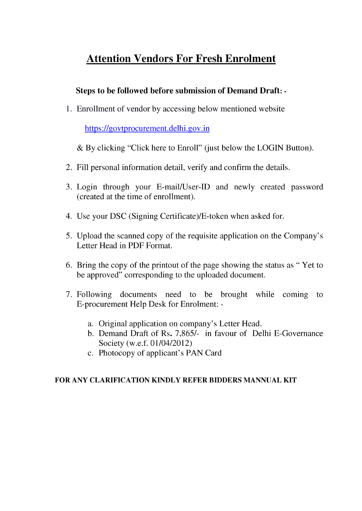## **Attention Vendors For Fresh Enrolment**

### **Steps to be followed before submission of Demand Draft: -**

1. Enrollment of vendor by accessing below mentioned website

https://govtprocurement.delhi.gov.in

& By clicking "Click here to Enroll" (just below the LOGIN Button).

- 2. Fill personal information detail, verify and confirm the details.
- 3. Login through your E-mail/User-ID and newly created password (created at the time of enrollment).
- 4. Use your DSC (Signing Certificate)/E-token when asked for.
- 5. Upload the scanned copy of the requisite application on the Company's Letter Head in PDF Format.
- 6. Bring the copy of the printout of the page showing the status as " Yet to be approved" corresponding to the uploaded document.
- 7. Following documents need to be brought while coming to E-procurement Help Desk for Enrolment:
	- a. Original application on company's Letter Head.
	- b. Demand Draft of Rs. 7,865/- in favour of Delhi E-Governance Society (w.e.f. 01/04/2012)
	- c. Photocopy of applicant's PAN Card

#### **FOR ANY CLARIFICATION KINDLY REFER BIDDERS MANNUAL KIT**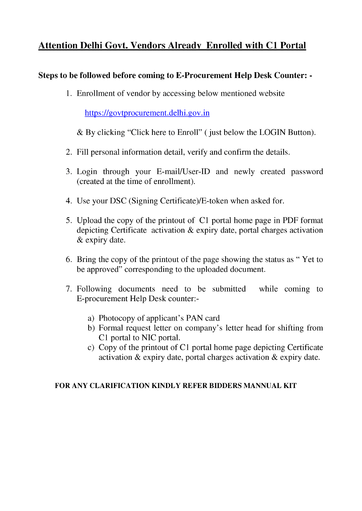## **Attention Delhi Govt. Vendors Already Enrolled with Cl Portal**

### **Steps to be followed before coming to E-Procurement Help Desk Counter: -**

1. Enrollment of vendor by accessing below mentioned website

https://govtprocurement.delhi.gov.in

& By clicking "Click here to Enroll" ( just below the LOGIN Button).

- 2. Fill personal information detail, verify and confirm the details.
- 3. Login through your E-mail/User-ID and newly created password (created at the time of enrollment).
- 4. Use your DSC (Signing Certificate)/E-token when asked for.
- 5. Upload the copy of the printout of Cl portal home page in PDF format depicting Certificate activation & expiry date, portal charges activation & expiry date.
- 6. Bring the copy of the printout of the page showing the status as " Yet to be approved" corresponding to the uploaded document.
- 7. Following documents need to be submitted while coming to E-procurement Help Desk counter:
	- a) Photocopy of applicant's PAN card
	- b) Formal request letter on company's letter head for shifting from Cl portal to NIC portal.
	- c) Copy of the printout of C1 portal home page depicting Certificate activation & expiry date, portal charges activation & expiry date.

### **FOR ANY CLARIFICATION KINDLY REFER BIDDERS MANNUAL KIT**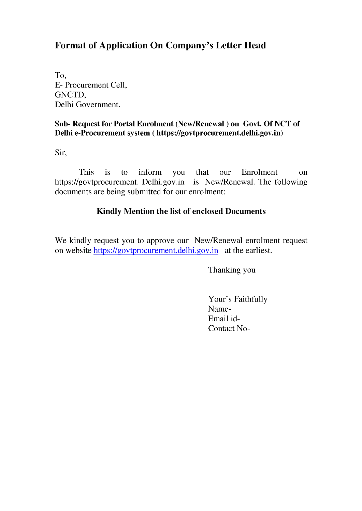## **Format of Application On Company's Letter Head**

To, E- Procurement Cell, GNCTD, Delhi Government.

#### **Sub- Request for Portal Enrolment (New/Renewal) on Govt. Of NCT of Delhi e-Procurement system ( https://govtprocurement.delhi.gov.in)**

Sir,

This is to inform you that our Enrolment on https://govtprocurement. Delhi.gov.in is New/Renewal. The following documents are being submitted for our enrolment:

### **Kindly Mention the list of enclosed Documents**

We kindly request you to approve our New/Renewal enrolment request on website https://govtprocurement.delhi.gov.in at the earliest.

Thanking you

Your's Faithfully Name-Email id-Contact No-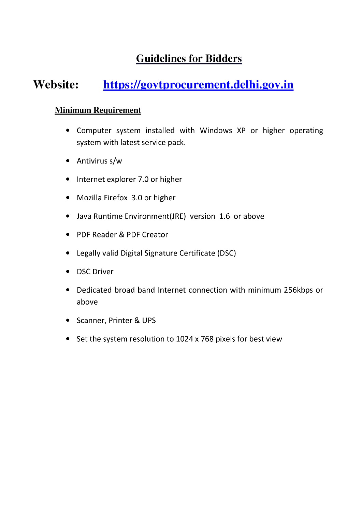## **Guidelines for Bidders**

# **Website: https://govtprocurement.delhi.gov.in**

### **Minimum Requirement**

- Computer system installed with Windows XP or higher operating system with latest service pack.
- Antivirus s/w
- Internet explorer 7.0 or higher
- Mozilla Firefox 3.0 or higher
- Java Runtime Environment(JRE) version 1.6 or above
- PDF Reader & PDF Creator
- Legally valid Digital Signature Certificate (DSC)
- DSC Driver
- Dedicated broad band Internet connection with minimum 256kbps or above
- Scanner, Printer & UPS
- Set the system resolution to 1024 x 768 pixels for best view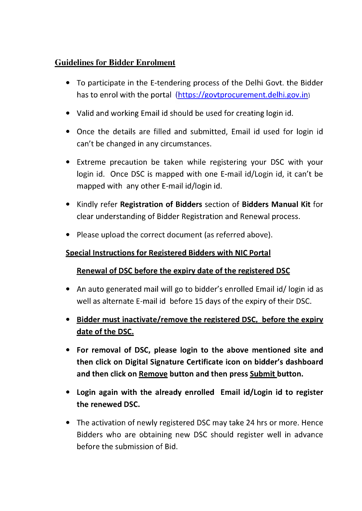## **Guidelines for Bidder Enrolment**

- To participate in the E-tendering process of the Delhi Govt, the Bidder has to enrol with the portal (https://govtprocurement.delhi.gov.in)
- Valid and working Email id should be used for creating login id.
- Once the details are filled and submitted, Email id used for login id can't be changed in any circumstances.
- Extreme precaution be taken while registering your DSC with your login id. Once DSC is mapped with one E-mail id/Login id, it can't be mapped with any other E-mail id/login id.
- Kindly refer **Registration of Bidders** section of **Bidders Manual Kit** for clear understanding of Bidder Registration and Renewal process.
- Please upload the correct document (as referred above).

### **Special Instructions for Registered Bidders with NIC Portal**

### **Renewal of DSC before the expiry date of the registered DSC**

- An auto generated mail will go to bidder's enrolled Email id/ login id as well as alternate E-mail id before 15 days of the expiry of their DSC.
- **Bidder must inactivate/remove the registered DSC, before the expiry date of the DSC.**
- **For removal of DSC, please login to the above mentioned site and then click on Digital Signature Certificate icon on bidder's dashboard and then click on Remove button and then press Submit button.**
- **Login again with the already enrolled Email id/Login id to register the renewed DSC.**
- The activation of newly registered DSC may take 24 hrs or more. Hence Bidders who are obtaining new DSC should register well in advance before the submission of Bid.